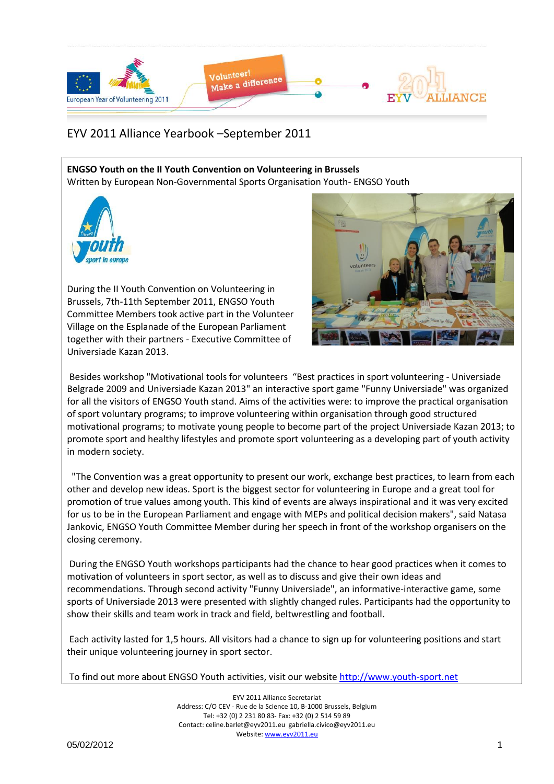

**ENGSO Youth on the II Youth Convention on Volunteering in Brussels** Written by European Non-Governmental Sports Organisation Youth- ENGSO Youth



During the II Youth Convention on Volunteering in Brussels, 7th-11th September 2011, ENGSO Youth Committee Members took active part in the Volunteer Village on the Esplanade of the European Parliament together with their partners - Executive Committee of Universiade Kazan 2013.



Besides workshop "Motivational tools for volunteers "Best practices in sport volunteering - Universiade Belgrade 2009 and Universiade Kazan 2013" an interactive sport game "Funny Universiade" was organized for all the visitors of ENGSO Youth stand. Aims of the activities were: to improve the practical organisation of sport voluntary programs; to improve volunteering within organisation through good structured motivational programs; to motivate young people to become part of the project Universiade Kazan 2013; to promote sport and healthy lifestyles and promote sport volunteering as a developing part of youth activity in modern society.

 "The Convention was a great opportunity to present our work, exchange best practices, to learn from each other and develop new ideas. Sport is the biggest sector for volunteering in Europe and a great tool for promotion of true values among youth. This kind of events are always inspirational and it was very excited for us to be in the European Parliament and engage with MEPs and political decision makers", said Natasa Jankovic, ENGSO Youth Committee Member during her speech in front of the workshop organisers on the closing ceremony.

During the ENGSO Youth workshops participants had the chance to hear good practices when it comes to motivation of volunteers in sport sector, as well as to discuss and give their own ideas and recommendations. Through second activity "Funny Universiade", an informative-interactive game, some sports of Universiade 2013 were presented with slightly changed rules. Participants had the opportunity to show their skills and team work in track and field, beltwrestling and football.

Each activity lasted for 1,5 hours. All visitors had a chance to sign up for volunteering positions and start their unique volunteering journey in sport sector.

To find out more about ENGSO Youth activities, visit our website [http://www.youth-sport.net](http://www.youth-sport.net/)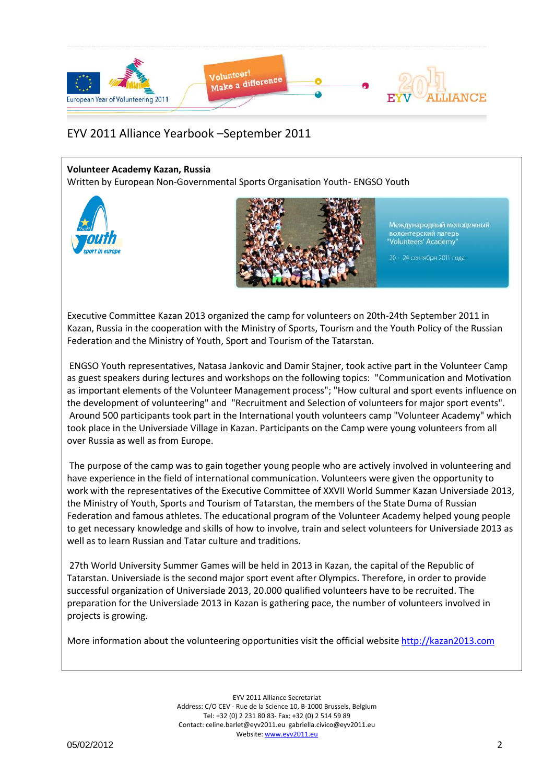

#### **Volunteer Academy Kazan, Russia**

Written by European Non-Governmental Sports Organisation Youth- ENGSO Youth





Международный молодежный волонтерский лагерь "Volunteers' Academy'

20 - 24 сентября 2011 года

Executive Committee Kazan 2013 organized the camp for volunteers on 20th-24th September 2011 in Kazan, Russia in the cooperation with the Ministry of Sports, Tourism and the Youth Policy of the Russian Federation and the Ministry of Youth, Sport and Tourism of the Tatarstan.

ENGSO Youth representatives, Natasa Jankovic and Damir Stajner, took active part in the Volunteer Camp as guest speakers during lectures and workshops on the following topics: "Communication and Motivation as important elements of the Volunteer Management process"; "How cultural and sport events influence on the development of volunteering" and "Recruitment and Selection of volunteers for major sport events". Around 500 participants took part in the International youth volunteers camp "Volunteer Academy" which took place in the Universiade Village in Kazan. Participants on the Camp were young volunteers from all over Russia as well as from Europe.

The purpose of the camp was to gain together young people who are actively involved in volunteering and have experience in the field of international communication. Volunteers were given the opportunity to work with the representatives of the Executive Committee of XXVII World Summer Kazan Universiade 2013, the Ministry of Youth, Sports and Tourism of Tatarstan, the members of the State Duma of Russian Federation and famous athletes. The educational program of the Volunteer Academy helped young people to get necessary knowledge and skills of how to involve, train and select volunteers for Universiade 2013 as well as to learn Russian and Tatar culture and traditions.

27th World University Summer Games will be held in 2013 in Kazan, the capital of the Republic of Tatarstan. Universiade is the second major sport event after Olympics. Therefore, in order to provide successful organization of Universiade 2013, 20.000 qualified volunteers have to be recruited. The preparation for the Universiade 2013 in Kazan is gathering pace, the number of volunteers involved in projects is growing.

More information about the volunteering opportunities visit the official websit[e http://kazan2013.com](http://kazan2013.com/)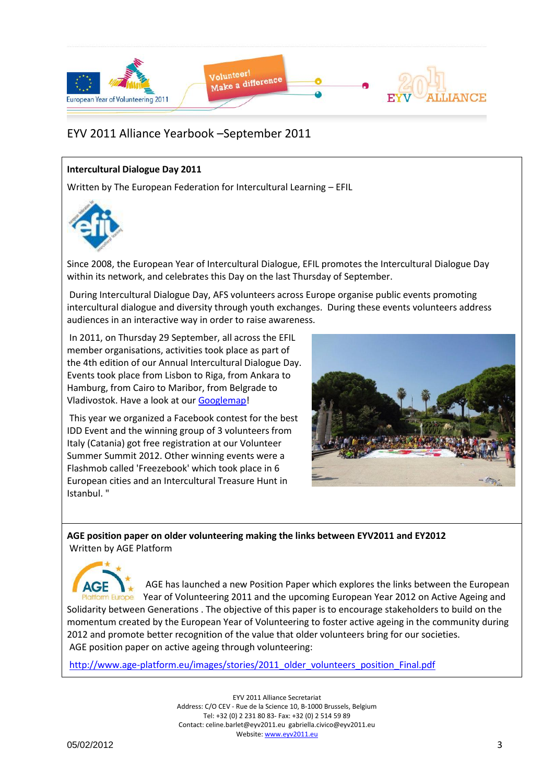

#### **Intercultural Dialogue Day 2011**

Written by The European Federation for Intercultural Learning – EFIL



Since 2008, the European Year of Intercultural Dialogue, EFIL promotes the Intercultural Dialogue Day within its network, and celebrates this Day on the last Thursday of September.

During Intercultural Dialogue Day, AFS volunteers across Europe organise public events promoting intercultural dialogue and diversity through youth exchanges. During these events volunteers address audiences in an interactive way in order to raise awareness.

In 2011, on Thursday 29 September, all across the EFIL member organisations, activities took place as part of the 4th edition of our Annual Intercultural Dialogue Day. Events took place from Lisbon to Riga, from Ankara to Hamburg, from Cairo to Maribor, from Belgrade to Vladivostok. Have a look at our [Googlemap!](http://maps.google.com/maps/ms?ie=UTF8&oe=UTF8&msa=0&msid=215631990725281514471.0004a6ae9fc416e63227e)

This year we organized a Facebook contest for the best IDD Event and the winning group of 3 volunteers from Italy (Catania) got free registration at our Volunteer Summer Summit 2012. Other winning events were a Flashmob called 'Freezebook' which took place in 6 European cities and an Intercultural Treasure Hunt in Istanbul. "



**AGE position paper on older volunteering making the links between EYV2011 and EY2012** Written by AGE Platform

**AGE** 

AGE has launched a new Position Paper which explores the links between the European Year of Volunteering 2011 and the upcoming European Year 2012 on Active Ageing and Solidarity between Generations . The objective of this paper is to encourage stakeholders to build on the momentum created by the European Year of Volunteering to foster active ageing in the community during 2012 and promote better recognition of the value that older volunteers bring for our societies. AGE position paper on active ageing through volunteering:

[http://www.age-platform.eu/images/stories/2011\\_older\\_volunteers\\_position\\_Final.pdf](http://www.age-platform.eu/images/stories/2011_older_volunteers_position_Final.pdf)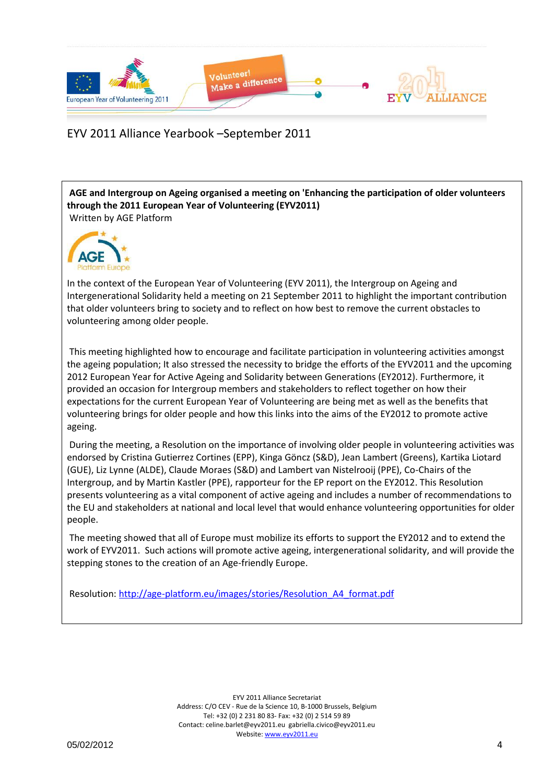

**AGE and Intergroup on Ageing organised a meeting on 'Enhancing the participation of older volunteers through the 2011 European Year of Volunteering (EYV2011)** Written by AGE Platform



In the context of the European Year of Volunteering (EYV 2011), the Intergroup on Ageing and Intergenerational Solidarity held a meeting on 21 September 2011 to highlight the important contribution that older volunteers bring to society and to reflect on how best to remove the current obstacles to volunteering among older people.

This meeting highlighted how to encourage and facilitate participation in volunteering activities amongst the ageing population; It also stressed the necessity to bridge the efforts of the EYV2011 and the upcoming 2012 European Year for Active Ageing and Solidarity between Generations (EY2012). Furthermore, it provided an occasion for Intergroup members and stakeholders to reflect together on how their expectations for the current European Year of Volunteering are being met as well as the benefits that volunteering brings for older people and how this links into the aims of the EY2012 to promote active ageing.

During the meeting, a Resolution on the importance of involving older people in volunteering activities was endorsed by Cristina Gutierrez Cortines (EPP), Kinga Göncz (S&D), Jean Lambert (Greens), Kartika Liotard (GUE), Liz Lynne (ALDE), Claude Moraes (S&D) and Lambert van Nistelrooij (PPE), Co-Chairs of the Intergroup, and by Martin Kastler (PPE), rapporteur for the EP report on the EY2012. This Resolution presents volunteering as a vital component of active ageing and includes a number of recommendations to the EU and stakeholders at national and local level that would enhance volunteering opportunities for older people.

The meeting showed that all of Europe must mobilize its efforts to support the EY2012 and to extend the work of EYV2011. Such actions will promote active ageing, intergenerational solidarity, and will provide the stepping stones to the creation of an Age-friendly Europe.

Resolution[: http://age-platform.eu/images/stories/Resolution\\_A4\\_format.pdf](http://age-platform.eu/images/stories/Resolution_A4_format.pdf)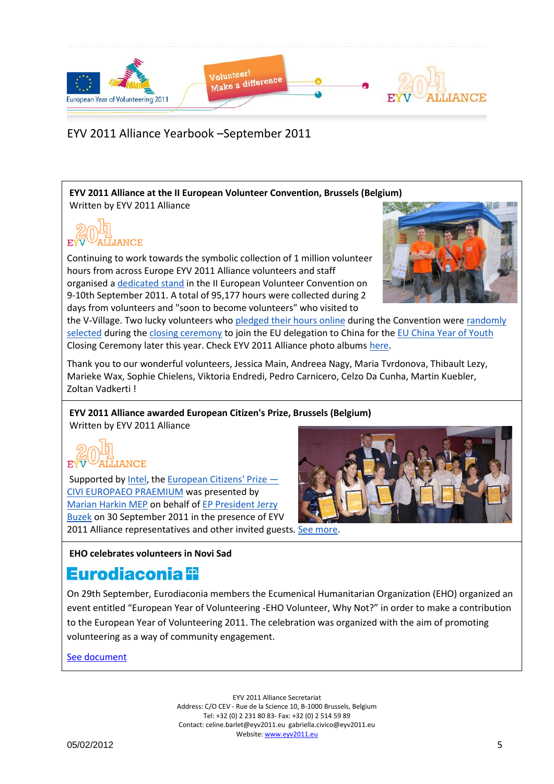

**EYV 2011 Alliance at the II European Volunteer Convention, Brussels (Belgium)**  Written by EYV 2011 Alliance

# **JANCE**

Continuing to work towards the symbolic collection of 1 million volunteer hours from across Europe EYV 2011 Alliance volunteers and staff organised a [dedicated stand](http://www.eyv2011.eu/index.php?option=com_acymailing&ctrl=url&urlid=437&mailid=26&subid=3) in the II European Volunteer Convention on 9-10th September 2011. A total of 95,177 hours were collected during 2 days from volunteers and "soon to become volunteers" who visited to



the V-Village. Two lucky volunteers who [pledged their hours online](http://www.eyv2011.eu/index.php?option=com_acymailing&ctrl=url&urlid=64&mailid=26&subid=3) during the Convention wer[e randomly](http://www.eyv2011.eu/index.php?option=com_acymailing&ctrl=url&urlid=438&mailid=26&subid=3)  [selected](http://www.eyv2011.eu/index.php?option=com_acymailing&ctrl=url&urlid=438&mailid=26&subid=3) during th[e closing ceremony](http://www.eyv2011.eu/index.php?option=com_acymailing&ctrl=url&urlid=439&mailid=26&subid=3) to join the EU delegation to China for the [EU China Year of Youth](http://www.eyv2011.eu/index.php?option=com_acymailing&ctrl=url&urlid=440&mailid=26&subid=3) Closing Ceremony later this year. Check EYV 2011 Alliance photo albums [here.](http://www.eyv2011.eu/index.php?option=com_acymailing&ctrl=url&urlid=436&mailid=26&subid=3)

Thank you to our wonderful volunteers, Jessica Main, Andreea Nagy, Maria Tvrdonova, Thibault Lezy, Marieke Wax, Sophie Chielens, Viktoria Endredi, Pedro Carnicero, Celzo Da Cunha, Martin Kuebler, Zoltan Vadkerti !

**EYV 2011 Alliance awarded European Citizen's Prize, Brussels (Belgium)**  Written by EYV 2011 Alliance



Supported by [Intel,](http://www.eyv2011.eu/index.php?option=com_acymailing&ctrl=url&urlid=478&mailid=26&subid=3) the [European Citizens' Prize](http://www.eyv2011.eu/index.php?option=com_acymailing&ctrl=url&urlid=280&mailid=26&subid=3) — [CIVI EUROPAEO PRAEMIUM](http://www.eyv2011.eu/index.php?option=com_acymailing&ctrl=url&urlid=280&mailid=26&subid=3) was presented by [Marian Harkin MEP](http://www.eyv2011.eu/index.php?option=com_acymailing&ctrl=url&urlid=279&mailid=26&subid=3) on behalf o[f EP President Jerzy](http://www.eyv2011.eu/index.php?option=com_acymailing&ctrl=url&urlid=477&mailid=26&subid=3)  [Buzek](http://www.eyv2011.eu/index.php?option=com_acymailing&ctrl=url&urlid=477&mailid=26&subid=3) on 30 September 2011 in the presence of EYV 2011 Alliance representatives and other invited guests. [See more.](http://www.eyv2011.eu/index.php?option=com_acymailing&ctrl=url&urlid=489&mailid=26&subid=3)



#### **EHO celebrates volunteers in Novi Sad**

# **Eurodiaconia** <sup>22</sup>

On 29th September, Eurodiaconia members the Ecumenical Humanitarian Organization (EHO) organized an event entitled "European Year of Volunteering -EHO Volunteer, Why Not?" in order to make a contribution to the European Year of Volunteering 2011. The celebration was organized with the aim of promoting volunteering as a way of community engagement.

[See document](Yearbook_Sept2011_Docs/EHO_volunteers_receive_certificate_Eurodiaconia.pdf)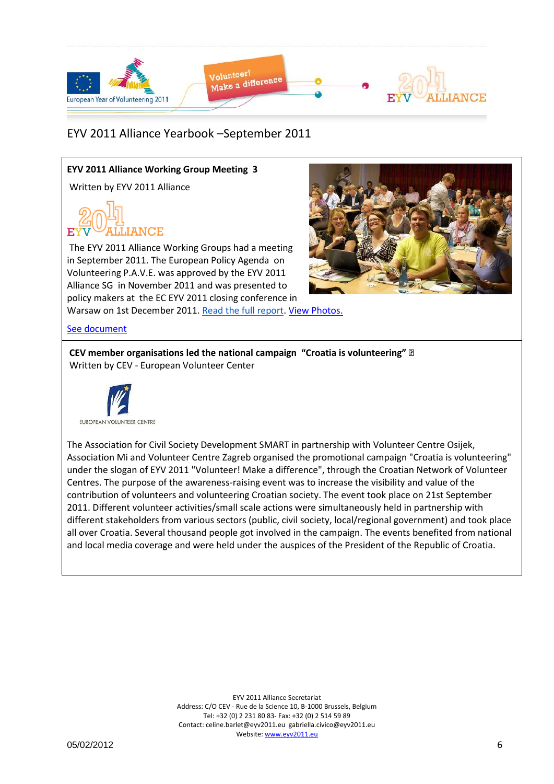

#### **EYV 2011 Alliance Working Group Meeting 3**

Written by EYV 2011 Alliance



The EYV 2011 Alliance Working Groups had a meeting in September 2011. The European Policy Agenda on Volunteering P.A.V.E. was approved by the EYV 2011 Alliance SG in November 2011 and was presented to policy makers at the EC EYV 2011 closing conference in Warsaw on 1st December 2011. [Read the full report.](http://www.eyv2011.eu/index.php?option=com_acymailing&ctrl=url&urlid=493&mailid=27&subid=3) [View Photos.](http://www.facebook.com/media/set/?set=a.292815804063891.80953.212863205392485&type=3)



[See document](Yearbook_Sept2011_Docs/EYV2011Alliance_WG_SeptemberMeeting_FinalReport.pdf)

**CEV member organisations led the national campaign "Croatia is volunteering" •**  Written by CEV - European Volunteer Center



The Association for Civil Society Development SMART in partnership with Volunteer Centre Osijek, Association Mi and Volunteer Centre Zagreb organised the promotional campaign "Croatia is volunteering" under the slogan of EYV 2011 "Volunteer! Make a difference", through the Croatian Network of Volunteer Centres. The purpose of the awareness-raising event was to increase the visibility and value of the contribution of volunteers and volunteering Croatian society. The event took place on 21st September 2011. Different volunteer activities/small scale actions were simultaneously held in partnership with different stakeholders from various sectors (public, civil society, local/regional government) and took place all over Croatia. Several thousand people got involved in the campaign. The events benefited from national and local media coverage and were held under the auspices of the President of the Republic of Croatia.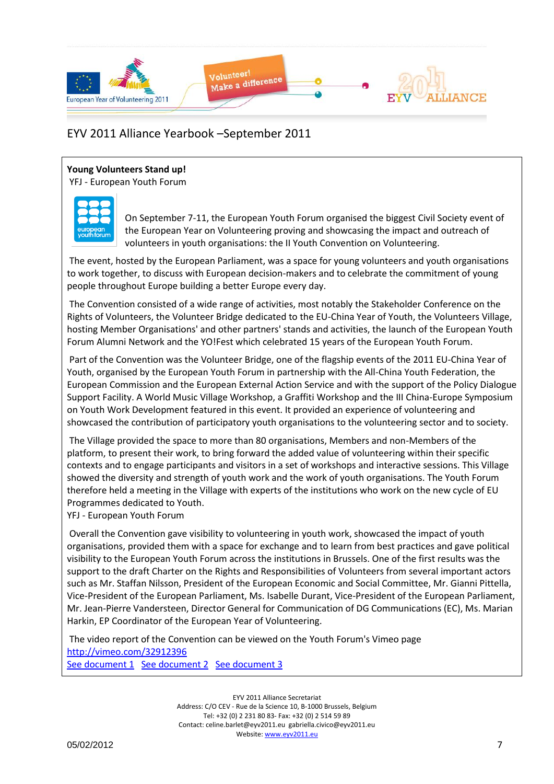

#### **Young Volunteers Stand up!**

YFJ - European Youth Forum

| european<br>youth forum |
|-------------------------|

On September 7-11, the European Youth Forum organised the biggest Civil Society event of the European Year on Volunteering proving and showcasing the impact and outreach of volunteers in youth organisations: the II Youth Convention on Volunteering.

The event, hosted by the European Parliament, was a space for young volunteers and youth organisations to work together, to discuss with European decision-makers and to celebrate the commitment of young people throughout Europe building a better Europe every day.

The Convention consisted of a wide range of activities, most notably the Stakeholder Conference on the Rights of Volunteers, the Volunteer Bridge dedicated to the EU-China Year of Youth, the Volunteers Village, hosting Member Organisations' and other partners' stands and activities, the launch of the European Youth Forum Alumni Network and the YO!Fest which celebrated 15 years of the European Youth Forum.

Part of the Convention was the Volunteer Bridge, one of the flagship events of the 2011 EU-China Year of Youth, organised by the European Youth Forum in partnership with the All-China Youth Federation, the European Commission and the European External Action Service and with the support of the Policy Dialogue Support Facility. A World Music Village Workshop, a Graffiti Workshop and the III China-Europe Symposium on Youth Work Development featured in this event. It provided an experience of volunteering and showcased the contribution of participatory youth organisations to the volunteering sector and to society.

The Village provided the space to more than 80 organisations, Members and non-Members of the platform, to present their work, to bring forward the added value of volunteering within their specific contexts and to engage participants and visitors in a set of workshops and interactive sessions. This Village showed the diversity and strength of youth work and the work of youth organisations. The Youth Forum therefore held a meeting in the Village with experts of the institutions who work on the new cycle of EU Programmes dedicated to Youth.

YFJ - European Youth Forum

Overall the Convention gave visibility to volunteering in youth work, showcased the impact of youth organisations, provided them with a space for exchange and to learn from best practices and gave political visibility to the European Youth Forum across the institutions in Brussels. One of the first results was the support to the draft Charter on the Rights and Responsibilities of Volunteers from several important actors such as Mr. Staffan Nilsson, President of the European Economic and Social Committee, Mr. Gianni Pittella, Vice-President of the European Parliament, Ms. Isabelle Durant, Vice-President of the European Parliament, Mr. Jean-Pierre Vandersteen, Director General for Communication of DG Communications (EC), Ms. Marian Harkin, EP Coordinator of the European Year of Volunteering.

The video report of the Convention can be viewed on the Youth Forum's Vimeo page <http://vimeo.com/32912396> [See document 1](Yearbook_Sept2011_Docs/Young_Volunteers_Stand_Up.mp4) [See document 2](Yearbook_Sept2011_Docs/Stakeholder_Report_YFJ.doc) [See document 3](Yearbook_Sept2011_Docs/0818_11_declaration_fin_YFJ.pdf)